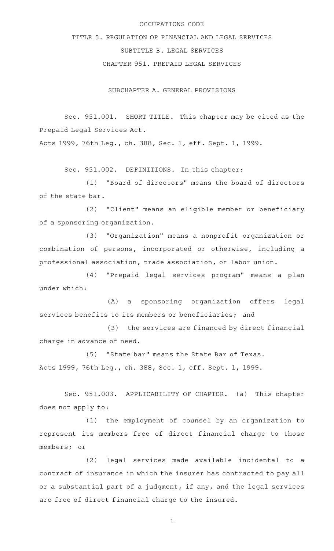## OCCUPATIONS CODE

## TITLE 5. REGULATION OF FINANCIAL AND LEGAL SERVICES SUBTITLE B. LEGAL SERVICES CHAPTER 951. PREPAID LEGAL SERVICES

SUBCHAPTER A. GENERAL PROVISIONS

Sec. 951.001. SHORT TITLE. This chapter may be cited as the Prepaid Legal Services Act.

Acts 1999, 76th Leg., ch. 388, Sec. 1, eff. Sept. 1, 1999.

Sec. 951.002. DEFINITIONS. In this chapter:

(1) "Board of directors" means the board of directors of the state bar.

(2) "Client" means an eligible member or beneficiary of a sponsoring organization.

(3) "Organization" means a nonprofit organization or combination of persons, incorporated or otherwise, including a professional association, trade association, or labor union.

(4) "Prepaid legal services program" means a plan under which:

(A) a sponsoring organization offers legal services benefits to its members or beneficiaries; and

(B) the services are financed by direct financial charge in advance of need.

(5) "State bar" means the State Bar of Texas. Acts 1999, 76th Leg., ch. 388, Sec. 1, eff. Sept. 1, 1999.

Sec. 951.003. APPLICABILITY OF CHAPTER. (a) This chapter does not apply to:

(1) the employment of counsel by an organization to represent its members free of direct financial charge to those members; or

(2) legal services made available incidental to a contract of insurance in which the insurer has contracted to pay all or a substantial part of a judgment, if any, and the legal services are free of direct financial charge to the insured.

1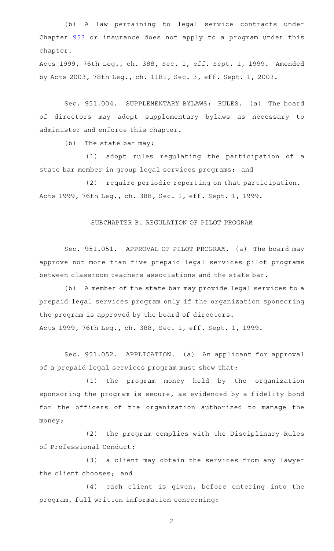(b) A law pertaining to legal service contracts under Chapter [953](http://www.statutes.legis.state.tx.us/GetStatute.aspx?Code=OC&Value=953) or insurance does not apply to a program under this chapter.

Acts 1999, 76th Leg., ch. 388, Sec. 1, eff. Sept. 1, 1999. Amended by Acts 2003, 78th Leg., ch. 1181, Sec. 3, eff. Sept. 1, 2003.

Sec. 951.004. SUPPLEMENTARY BYLAWS; RULES. (a) The board of directors may adopt supplementary bylaws as necessary to administer and enforce this chapter.

 $(b)$  The state bar may:

(1) adopt rules regulating the participation of a state bar member in group legal services programs; and

(2) require periodic reporting on that participation. Acts 1999, 76th Leg., ch. 388, Sec. 1, eff. Sept. 1, 1999.

## SUBCHAPTER B. REGULATION OF PILOT PROGRAM

Sec. 951.051. APPROVAL OF PILOT PROGRAM. (a) The board may approve not more than five prepaid legal services pilot programs between classroom teachers associations and the state bar.

(b) A member of the state bar may provide legal services to a prepaid legal services program only if the organization sponsoring the program is approved by the board of directors.

Acts 1999, 76th Leg., ch. 388, Sec. 1, eff. Sept. 1, 1999.

Sec. 951.052. APPLICATION. (a) An applicant for approval of a prepaid legal services program must show that:

(1) the program money held by the organization sponsoring the program is secure, as evidenced by a fidelity bond for the officers of the organization authorized to manage the money;

(2) the program complies with the Disciplinary Rules of Professional Conduct;

(3) a client may obtain the services from any lawyer the client chooses; and

(4) each client is given, before entering into the program, full written information concerning:

2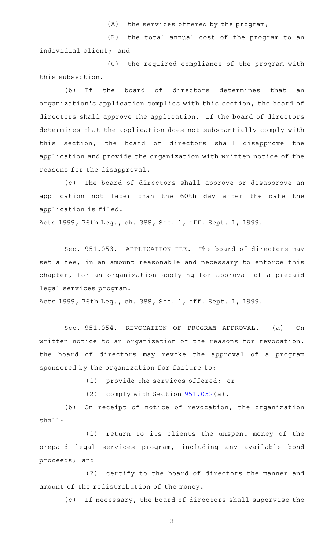$(A)$  the services offered by the program;

(B) the total annual cost of the program to an individual client; and

(C) the required compliance of the program with this subsection.

(b) If the board of directors determines that an organization 's application complies with this section, the board of directors shall approve the application. If the board of directors determines that the application does not substantially comply with this section, the board of directors shall disapprove the application and provide the organization with written notice of the reasons for the disapproval.

(c) The board of directors shall approve or disapprove an application not later than the 60th day after the date the application is filed.

Acts 1999, 76th Leg., ch. 388, Sec. 1, eff. Sept. 1, 1999.

Sec. 951.053. APPLICATION FEE. The board of directors may set a fee, in an amount reasonable and necessary to enforce this chapter, for an organization applying for approval of a prepaid legal services program.

Acts 1999, 76th Leg., ch. 388, Sec. 1, eff. Sept. 1, 1999.

Sec. 951.054. REVOCATION OF PROGRAM APPROVAL. (a) On written notice to an organization of the reasons for revocation, the board of directors may revoke the approval of a program sponsored by the organization for failure to:

(1) provide the services offered; or

(2) comply with Section  $951.052(a)$  $951.052(a)$ .

(b) On receipt of notice of revocation, the organization shall:

(1) return to its clients the unspent money of the prepaid legal services program, including any available bond proceeds; and

(2) certify to the board of directors the manner and amount of the redistribution of the money.

(c) If necessary, the board of directors shall supervise the

3